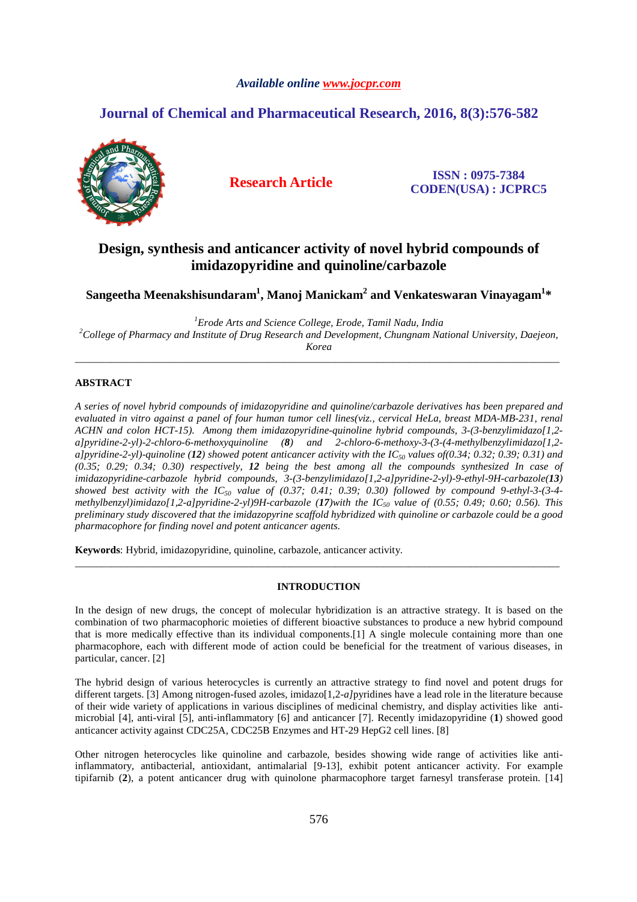# *Available online www.jocpr.com*

# **Journal of Chemical and Pharmaceutical Research, 2016, 8(3):576-582**



**Research Article ISSN : 0975-7384 CODEN(USA) : JCPRC5**

# **Design, synthesis and anticancer activity of novel hybrid compounds of imidazopyridine and quinoline/carbazole**

 $\boldsymbol{\mathrm{S}}$ angeetha Meenakshisundaram $^1$ , Manoj Manickam $^2$  and Venkateswaran Vinayagam $^{1*}$ 

*<sup>1</sup>Erode Arts and Science College, Erode, Tamil Nadu, India <sup>2</sup>College of Pharmacy and Institute of Drug Research and Development, Chungnam National University, Daejeon, Korea* 

\_\_\_\_\_\_\_\_\_\_\_\_\_\_\_\_\_\_\_\_\_\_\_\_\_\_\_\_\_\_\_\_\_\_\_\_\_\_\_\_\_\_\_\_\_\_\_\_\_\_\_\_\_\_\_\_\_\_\_\_\_\_\_\_\_\_\_\_\_\_\_\_\_\_\_\_\_\_\_\_\_\_\_\_\_\_\_\_\_\_\_\_\_

# **ABSTRACT**

*A series of novel hybrid compounds of imidazopyridine and quinoline/carbazole derivatives has been prepared and evaluated in vitro against a panel of four human tumor cell lines(viz., cervical HeLa, breast MDA-MB-231, renal ACHN and colon HCT-15). Among them imidazopyridine-quinoline hybrid compounds, 3-(3-benzylimidazo[1,2 a]pyridine-2-yl)-2-chloro-6-methoxyquinoline (8) and 2-chloro-6-methoxy-3-(3-(4-methylbenzylimidazo[1,2 a]pyridine-2-yl)-quinoline (12) showed potent anticancer activity with the IC50 values of(0.34; 0.32; 0.39; 0.31) and (0.35; 0.29; 0.34; 0.30) respectively, 12 being the best among all the compounds synthesized In case of imidazopyridine-carbazole hybrid compounds, 3-(3-benzylimidazo[1,2-a]pyridine-2-yl)-9-ethyl-9H-carbazole(13) showed best activity with the IC50 value of (0.37; 0.41; 0.39; 0.30) followed by compound 9-ethyl-3-(3-4 methylbenzyl)imidazo[1,2-a]pyridine-2-yl)9H-carbazole (17)with the IC50 value of (0.55; 0.49; 0.60; 0.56). This preliminary study discovered that the imidazopyrine scaffold hybridized with quinoline or carbazole could be a good pharmacophore for finding novel and potent anticancer agents.* 

**Keywords**: Hybrid, imidazopyridine, quinoline, carbazole, anticancer activity.

# **INTRODUCTION**

\_\_\_\_\_\_\_\_\_\_\_\_\_\_\_\_\_\_\_\_\_\_\_\_\_\_\_\_\_\_\_\_\_\_\_\_\_\_\_\_\_\_\_\_\_\_\_\_\_\_\_\_\_\_\_\_\_\_\_\_\_\_\_\_\_\_\_\_\_\_\_\_\_\_\_\_\_\_\_\_\_\_\_\_\_\_\_\_\_\_\_\_\_

In the design of new drugs, the concept of molecular hybridization is an attractive strategy. It is based on the combination of two pharmacophoric moieties of different bioactive substances to produce a new hybrid compound that is more medically effective than its individual components.[1] A single molecule containing more than one pharmacophore, each with different mode of action could be beneficial for the treatment of various diseases, in particular, cancer. [2]

The hybrid design of various heterocycles is currently an attractive strategy to find novel and potent drugs for different targets. [3] Among nitrogen-fused azoles, imidazo[1,2-*a]* pyridines have a lead role in the literature because of their wide variety of applications in various disciplines of medicinal chemistry, and display activities like antimicrobial [4], anti-viral [5], anti-inflammatory [6] and anticancer [7]. Recently imidazopyridine (**1**) showed good anticancer activity against CDC25A, CDC25B Enzymes and HT-29 HepG2 cell lines. [8]

Other nitrogen heterocycles like quinoline and carbazole, besides showing wide range of activities like antiinflammatory, antibacterial, antioxidant, antimalarial [9-13], exhibit potent anticancer activity. For example tipifarnib (**2**), a potent anticancer drug with quinolone pharmacophore target farnesyl transferase protein. [14]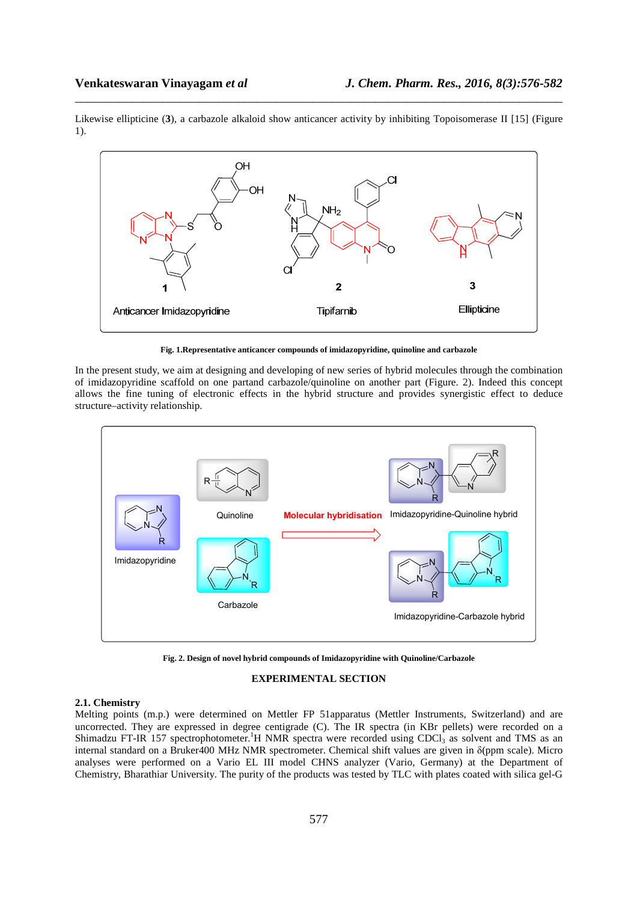Likewise ellipticine (**3**), a carbazole alkaloid show anticancer activity by inhibiting Topoisomerase II [15] (Figure 1).

\_\_\_\_\_\_\_\_\_\_\_\_\_\_\_\_\_\_\_\_\_\_\_\_\_\_\_\_\_\_\_\_\_\_\_\_\_\_\_\_\_\_\_\_\_\_\_\_\_\_\_\_\_\_\_\_\_\_\_\_\_\_\_\_\_\_\_\_\_\_\_\_\_\_\_\_\_\_



**Fig. 1.Representative anticancer compounds of imidazopyridine, quinoline and carbazole** 

In the present study, we aim at designing and developing of new series of hybrid molecules through the combination of imidazopyridine scaffold on one partand carbazole/quinoline on another part (Figure. 2). Indeed this concept allows the fine tuning of electronic effects in the hybrid structure and provides synergistic effect to deduce structure–activity relationship.



**Fig. 2. Design of novel hybrid compounds of Imidazopyridine with Quinoline/Carbazole** 

# **EXPERIMENTAL SECTION**

#### **2.1. Chemistry**

Melting points (m.p.) were determined on Mettler FP 51apparatus (Mettler Instruments, Switzerland) and are uncorrected. They are expressed in degree centigrade (C). The IR spectra (in KBr pellets) were recorded on a Shimadzu FT-IR 157 spectrophotometer.<sup>1</sup>H NMR spectra were recorded using CDCl<sub>3</sub> as solvent and TMS as an internal standard on a Bruker400 MHz NMR spectrometer. Chemical shift values are given in δ(ppm scale). Micro analyses were performed on a Vario EL III model CHNS analyzer (Vario, Germany) at the Department of Chemistry, Bharathiar University. The purity of the products was tested by TLC with plates coated with silica gel-G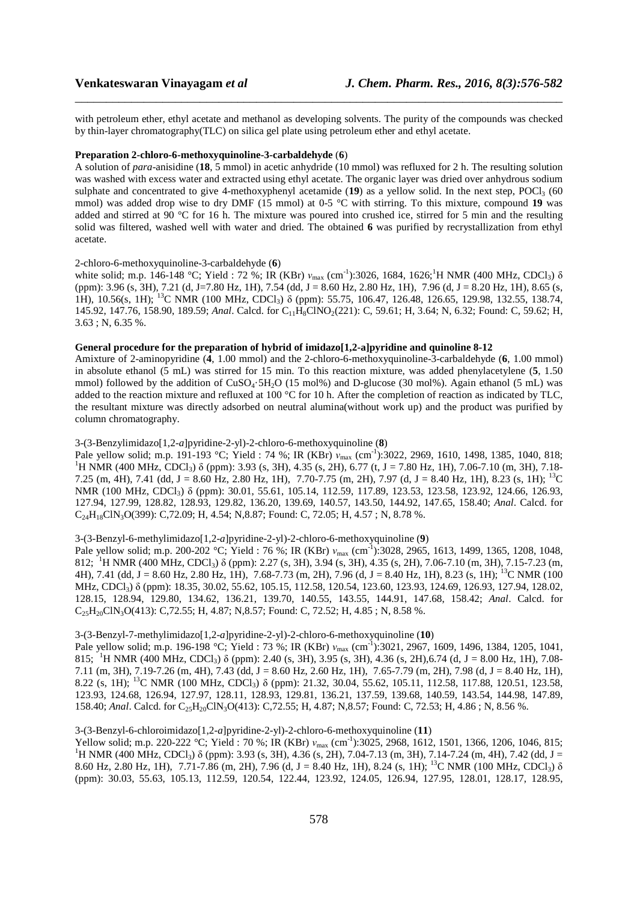with petroleum ether, ethyl acetate and methanol as developing solvents. The purity of the compounds was checked by thin-layer chromatography(TLC) on silica gel plate using petroleum ether and ethyl acetate.

\_\_\_\_\_\_\_\_\_\_\_\_\_\_\_\_\_\_\_\_\_\_\_\_\_\_\_\_\_\_\_\_\_\_\_\_\_\_\_\_\_\_\_\_\_\_\_\_\_\_\_\_\_\_\_\_\_\_\_\_\_\_\_\_\_\_\_\_\_\_\_\_\_\_\_\_\_\_

### **Preparation 2-chloro-6-methoxyquinoline-3-carbaldehyde** (**6**)

A solution of *para*-anisidine (**18**, 5 mmol) in acetic anhydride (10 mmol) was refluxed for 2 h. The resulting solution was washed with excess water and extracted using ethyl acetate. The organic layer was dried over anhydrous sodium sulphate and concentrated to give 4-methoxyphenyl acetamide  $(19)$  as a yellow solid. In the next step, POCl<sub>3</sub> (60) mmol) was added drop wise to dry DMF (15 mmol) at 0-5 °C with stirring. To this mixture, compound 19 was added and stirred at  $90^{\circ}$ C for 16 h. The mixture was poured into crushed ice, stirred for 5 min and the resulting solid was filtered, washed well with water and dried. The obtained **6** was purified by recrystallization from ethyl acetate.

#### 2-chloro-6-methoxyquinoline-3-carbaldehyde (**6**)

white solid; m.p. 146-148 °C; Yield : 72 %; IR (KBr) *ν*<sub>max</sub> (cm<sup>-1</sup>):3026, 1684, 1626;<sup>1</sup>H NMR (400 MHz, CDCl<sub>3</sub>) δ (ppm): 3.96 (s, 3H), 7.21 (d, J=7.80 Hz, 1H), 7.54 (dd, J = 8.60 Hz, 2.80 Hz, 1H), 7.96 (d, J = 8.20 Hz, 1H), 8.65 (s, 1H), 10.56(s, 1H); <sup>13</sup>C NMR (100 MHz, CDCl3) δ (ppm): 55.75, 106.47, 126.48, 126.65, 129.98, 132.55, 138.74, 145.92, 147.76, 158.90, 189.59; *Anal*. Calcd. for C11H8ClNO2(221): C, 59.61; H, 3.64; N, 6.32; Found: C, 59.62; H, 3.63 ; N, 6.35 %.

# **General procedure for the preparation of hybrid of imidazo[1,2-a]pyridine and quinoline 8-12**

Amixture of 2-aminopyridine (**4**, 1.00 mmol) and the 2-chloro-6-methoxyquinoline-3-carbaldehyde (**6**, 1.00 mmol) in absolute ethanol (5 mL) was stirred for 15 min. To this reaction mixture, was added phenylacetylene (**5**, 1.50 mmol) followed by the addition of CuSO<sub>4</sub>·5H<sub>2</sub>O (15 mol%) and D-glucose (30 mol%). Again ethanol (5 mL) was added to the reaction mixture and refluxed at 100 °C for 10 h. After the completion of reaction as indicated by TLC, the resultant mixture was directly adsorbed on neutral alumina(without work up) and the product was purified by column chromatography.

#### 3-(3-Benzylimidazo[1,2-*a*]pyridine-2-yl)-2-chloro-6-methoxyquinoline (**8**)

Pale yellow solid; m.p. 191-193 °C; Yield : 74 %; IR (KBr) *ν*<sub>max</sub> (cm<sup>-1</sup>):3022, 2969, 1610, 1498, 1385, 1040, 818; <sup>1</sup>H NMR (400 MHz, CDCl<sub>3</sub>) δ (ppm): 3.93 (s, 3H), 4.35 (s, 2H), 6.77 (t, J = 7.80 Hz, 1H), 7.06-7.10 (m, 3H), 7.18-7.25 (m, 4H), 7.41 (dd, J = 8.60 Hz, 2.80 Hz, 1H), 7.70-7.75 (m, 2H), 7.97 (d, J = 8.40 Hz, 1H), 8.23 (s, 1H); <sup>13</sup>C NMR (100 MHz, CDCl<sub>3</sub>) δ (ppm): 30.01, 55.61, 105.14, 112.59, 117.89, 123.53, 123.58, 123.92, 124.66, 126.93, 127.94, 127.99, 128.82, 128.93, 129.82, 136.20, 139.69, 140.57, 143.50, 144.92, 147.65, 158.40; *Anal*. Calcd. for C24H18ClN3O(399): C,72.09; H, 4.54; N,8.87; Found: C, 72.05; H, 4.57 ; N, 8.78 %.

# 3-(3-Benzyl-6-methylimidazo[1,2-*a*]pyridine-2-yl)-2-chloro-6-methoxyquinoline (**9**)

Pale yellow solid; m.p. 200-202 °C; Yield : 76 %; IR (KBr)  $v_{\text{max}}$  (cm<sup>-1</sup>):3028, 2965, 1613, 1499, 1365, 1208, 1048, 812; <sup>1</sup>H NMR (400 MHz, CDCl3) δ (ppm): 2.27 (s, 3H), 3.94 (s, 3H), 4.35 (s, 2H), 7.06-7.10 (m, 3H), 7.15-7.23 (m, 4H), 7.41 (dd, J = 8.60 Hz, 2.80 Hz, 1H), 7.68-7.73 (m, 2H), 7.96 (d, J = 8.40 Hz, 1H), 8.23 (s, 1H); <sup>13</sup>C NMR (100 MHz, CDCl3) δ (ppm): 18.35, 30.02, 55.62, 105.15, 112.58, 120.54, 123.60, 123.93, 124.69, 126.93, 127.94, 128.02, 128.15, 128.94, 129.80, 134.62, 136.21, 139.70, 140.55, 143.55, 144.91, 147.68, 158.42; *Anal*. Calcd. for  $C_{25}H_{20}CIN_{3}O(413)$ : C,72.55; H, 4.87; N,8.57; Found: C, 72.52; H, 4.85; N, 8.58 %.

#### 3-(3-Benzyl-7-methylimidazo[1,2-*a*]pyridine-2-yl)-2-chloro-6-methoxyquinoline (**10**)

Pale yellow solid; m.p. 196-198 °C; Yield : 73 %; IR (KBr) *ν*max (cm-1):3021, 2967, 1609, 1496, 1384, 1205, 1041, 815; <sup>1</sup>H NMR (400 MHz, CDCl<sub>3</sub>) δ (ppm): 2.40 (s, 3H), 3.95 (s, 3H), 4.36 (s, 2H),6.74 (d, J = 8.00 Hz, 1H), 7.08-7.11 (m, 3H), 7.19-7.26 (m, 4H), 7.43 (dd, J = 8.60 Hz, 2.60 Hz, 1H), 7.65-7.79 (m, 2H), 7.98 (d, J = 8.40 Hz, 1H), 8.22 (s, 1H); <sup>13</sup>C NMR (100 MHz, CDCl3) δ (ppm): 21.32, 30.04, 55.62, 105.11, 112.58, 117.88, 120.51, 123.58, 123.93, 124.68, 126.94, 127.97, 128.11, 128.93, 129.81, 136.21, 137.59, 139.68, 140.59, 143.54, 144.98, 147.89, 158.40; *Anal*. Calcd. for C<sub>25</sub>H<sub>20</sub>ClN<sub>3</sub>O(413): C,72.55; H, 4.87; N,8.57; Found: C, 72.53; H, 4.86; N, 8.56 %.

# 3-(3-Benzyl-6-chloroimidazo[1,2-*a*]pyridine-2-yl)-2-chloro-6-methoxyquinoline (**11**)

Yellow solid; m.p. 220-222 °C; Yield : 70 %; IR (KBr) *ν*<sub>max</sub> (cm<sup>-1</sup>):3025, 2968, 1612, 1501, 1366, 1206, 1046, 815; <sup>1</sup>H NMR (400 MHz, CDCl<sub>3</sub>) δ (ppm): 3.93 (s, 3H), 4.36 (s, 2H), 7.04-7.13 (m, 3H), 7.14-7.24 (m, 4H), 7.42 (dd, J = 8.60 Hz, 2.80 Hz, 1H), 7.71-7.86 (m, 2H), 7.96 (d, J = 8.40 Hz, 1H), 8.24 (s, 1H); <sup>13</sup>C NMR (100 MHz, CDCl<sub>3</sub>)  $\delta$ (ppm): 30.03, 55.63, 105.13, 112.59, 120.54, 122.44, 123.92, 124.05, 126.94, 127.95, 128.01, 128.17, 128.95,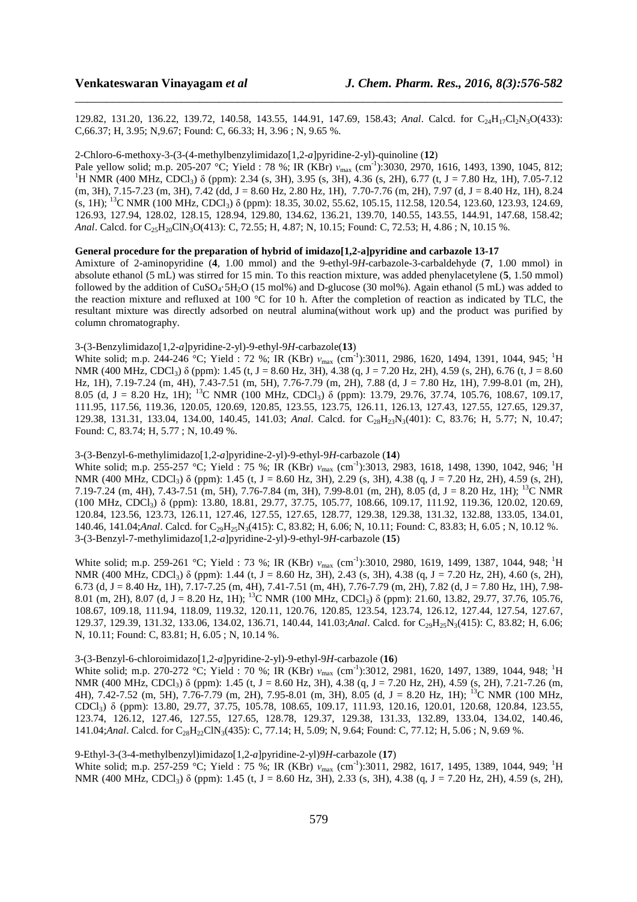129.82, 131.20, 136.22, 139.72, 140.58, 143.55, 144.91, 147.69, 158.43; *Anal*. Calcd. for C<sub>24</sub>H<sub>17</sub>Cl<sub>2</sub>N<sub>3</sub>O(433): C,66.37; H, 3.95; N,9.67; Found: C, 66.33; H, 3.96 ; N, 9.65 %.

\_\_\_\_\_\_\_\_\_\_\_\_\_\_\_\_\_\_\_\_\_\_\_\_\_\_\_\_\_\_\_\_\_\_\_\_\_\_\_\_\_\_\_\_\_\_\_\_\_\_\_\_\_\_\_\_\_\_\_\_\_\_\_\_\_\_\_\_\_\_\_\_\_\_\_\_\_\_

#### 2-Chloro-6-methoxy-3-(3-(4-methylbenzylimidazo[1,2-*a*]pyridine-2-yl)-quinoline (**12**)

Pale yellow solid; m.p. 205-207 °C; Yield : 78 %; IR (KBr) *ν<sub>max</sub>* (cm<sup>-1</sup>):3030, 2970, 1616, 1493, 1390, 1045, 812; <sup>1</sup>H NMR (400 MHz, CDCl<sub>3</sub>) δ (ppm): 2.34 (s, 3H), 3.95 (s, 3H), 4.36 (s, 2H), 6.77 (t, J = 7.80 Hz, 1H), 7.05-7.12  $(m, 3H), 7.15-7.23$   $(m, 3H), 7.42$   $(dd, J = 8.60$  Hz, 2.80 Hz, 1H), 7.70-7.76  $(m, 2H), 7.97$   $(d, J = 8.40$  Hz, 1H), 8.24 (s, 1H); <sup>13</sup>C NMR (100 MHz, CDCl3) δ (ppm): 18.35, 30.02, 55.62, 105.15, 112.58, 120.54, 123.60, 123.93, 124.69, 126.93, 127.94, 128.02, 128.15, 128.94, 129.80, 134.62, 136.21, 139.70, 140.55, 143.55, 144.91, 147.68, 158.42; *Anal*. Calcd. for C<sub>25</sub>H<sub>20</sub>ClN<sub>3</sub>O(413): C, 72.55; H, 4.87; N, 10.15; Found: C, 72.53; H, 4.86; N, 10.15 %.

# **General procedure for the preparation of hybrid of imidazo[1,2-a]pyridine and carbazole 13-17**

Amixture of 2-aminopyridine (**4**, 1.00 mmol) and the 9-ethyl-9*H*-carbazole-3-carbaldehyde (**7**, 1.00 mmol) in absolute ethanol (5 mL) was stirred for 15 min. To this reaction mixture, was added phenylacetylene (**5**, 1.50 mmol) followed by the addition of  $CuSO<sub>4</sub>·5H<sub>2</sub>O$  (15 mol%) and D-glucose (30 mol%). Again ethanol (5 mL) was added to the reaction mixture and refluxed at 100 °C for 10 h. After the completion of reaction as indicated by TLC, the resultant mixture was directly adsorbed on neutral alumina(without work up) and the product was purified by column chromatography.

# 3-(3-Benzylimidazo[1,2-*a*]pyridine-2-yl)-9-ethyl-9*H*-carbazole(**13**)

White solid; m.p. 244-246 °C; Yield : 72 %; IR (KBr) *ν*<sub>max</sub> (cm<sup>-1</sup>):3011, 2986, 1620, 1494, 1391, 1044, 945; <sup>1</sup>H NMR (400 MHz, CDCl<sub>3</sub>) δ (ppm): 1.45 (t, J = 8.60 Hz, 3H), 4.38 (q, J = 7.20 Hz, 2H), 4.59 (s, 2H), 6.76 (t, J = 8.60 Hz, 1H), 7.19-7.24 (m, 4H), 7.43-7.51 (m, 5H), 7.76-7.79 (m, 2H), 7.88 (d, J = 7.80 Hz, 1H), 7.99-8.01 (m, 2H), 8.05 (d, J = 8.20 Hz, 1H); <sup>13</sup>C NMR (100 MHz, CDCl3) δ (ppm): 13.79, 29.76, 37.74, 105.76, 108.67, 109.17, 111.95, 117.56, 119.36, 120.05, 120.69, 120.85, 123.55, 123.75, 126.11, 126.13, 127.43, 127.55, 127.65, 129.37, 129.38, 131.31, 133.04, 134.00, 140.45, 141.03; *Anal*. Calcd. for C<sub>28</sub>H<sub>23</sub>N<sub>3</sub>(401): C, 83.76; H, 5.77; N, 10.47; Found: C, 83.74; H, 5.77 ; N, 10.49 %.

## 3-(3-Benzyl-6-methylimidazo[1,2-*a*]pyridine-2-yl)-9-ethyl-9*H*-carbazole (**14**)

White solid; m.p. 255-257 °C; Yield : 75 %; IR (KBr) *ν*<sub>max</sub> (cm<sup>-1</sup>):3013, 2983, 1618, 1498, 1390, 1042, 946; <sup>1</sup>H NMR (400 MHz, CDCl<sub>3</sub>) δ (ppm): 1.45 (t, J = 8.60 Hz, 3H), 2.29 (s, 3H), 4.38 (q, J = 7.20 Hz, 2H), 4.59 (s, 2H), 7.19-7.24 (m, 4H), 7.43-7.51 (m, 5H), 7.76-7.84 (m, 3H), 7.99-8.01 (m, 2H), 8.05 (d, J = 8.20 Hz, 1H); <sup>13</sup>C NMR (100 MHz, CDCl3) δ (ppm): 13.80, 18.81, 29.77, 37.75, 105.77, 108.66, 109.17, 111.92, 119.36, 120.02, 120.69, 120.84, 123.56, 123.73, 126.11, 127.46, 127.55, 127.65, 128.77, 129.38, 129.38, 131.32, 132.88, 133.05, 134.01, 140.46, 141.04;*Anal*. Calcd. for C<sub>29</sub>H<sub>25</sub>N<sub>3</sub>(415): C, 83.82; H, 6.06; N, 10.11; Found: C, 83.83; H, 6.05; N, 10.12 %. 3-(3-Benzyl-7-methylimidazo[1,2-*a*]pyridine-2-yl)-9-ethyl-9*H*-carbazole (**15**)

White solid; m.p. 259-261 °C; Yield : 73 %; IR (KBr) *ν*<sub>max</sub> (cm<sup>-1</sup>):3010, 2980, 1619, 1499, 1387, 1044, 948; <sup>1</sup>H NMR (400 MHz, CDCl<sub>3</sub>) δ (ppm): 1.44 (t, J = 8.60 Hz, 3H), 2.43 (s, 3H), 4.38 (q, J = 7.20 Hz, 2H), 4.60 (s, 2H), 6.73 (d, J = 8.40 Hz, 1H), 7.17-7.25 (m, 4H), 7.41-7.51 (m, 4H), 7.76-7.79 (m, 2H), 7.82 (d, J = 7.80 Hz, 1H), 7.98-8.01 (m, 2H), 8.07 (d, J = 8.20 Hz, 1H); <sup>13</sup>C NMR (100 MHz, CDCl3) δ (ppm): 21.60, 13.82, 29.77, 37.76, 105.76, 108.67, 109.18, 111.94, 118.09, 119.32, 120.11, 120.76, 120.85, 123.54, 123.74, 126.12, 127.44, 127.54, 127.67, 129.37, 129.39, 131.32, 133.06, 134.02, 136.71, 140.44, 141.03;*Anal*. Calcd. for C<sub>29</sub>H<sub>25</sub>N<sub>3</sub>(415): C, 83.82; H, 6.06; N, 10.11; Found: C, 83.81; H, 6.05 ; N, 10.14 %.

### 3-(3-Benzyl-6-chloroimidazo[1,2-*a*]pyridine-2-yl)-9-ethyl-9*H*-carbazole (**16**)

White solid; m.p. 270-272 °C; Yield : 70 %; IR (KBr) *ν*<sub>max</sub> (cm<sup>-1</sup>):3012, 2981, 1620, 1497, 1389, 1044, 948; <sup>1</sup>H NMR (400 MHz, CDCl<sub>3</sub>) δ (ppm): 1.45 (t, J = 8.60 Hz, 3H), 4.38 (q, J = 7.20 Hz, 2H), 4.59 (s, 2H), 7.21-7.26 (m, 4H), 7.42-7.52 (m, 5H), 7.76-7.79 (m, 2H), 7.95-8.01 (m, 3H), 8.05 (d, J = 8.20 Hz, 1H); <sup>13</sup>C NMR (100 MHz, CDCl3) δ (ppm): 13.80, 29.77, 37.75, 105.78, 108.65, 109.17, 111.93, 120.16, 120.01, 120.68, 120.84, 123.55, 123.74, 126.12, 127.46, 127.55, 127.65, 128.78, 129.37, 129.38, 131.33, 132.89, 133.04, 134.02, 140.46, 141.04;*Anal*. Calcd. for C<sub>28</sub>H<sub>22</sub>ClN<sub>3</sub>(435): C, 77.14; H, 5.09; N, 9.64; Found: C, 77.12; H, 5.06; N, 9.69 %.

9-Ethyl-3-(3-4-methylbenzyl)imidazo[1,2-*a*]pyridine-2-yl)9*H*-carbazole (**17**)

White solid; m.p. 257-259 °C; Yield : 75 %; IR (KBr) *ν*<sub>max</sub> (cm<sup>-1</sup>):3011, 2982, 1617, 1495, 1389, 1044, 949; <sup>1</sup>H NMR (400 MHz, CDCl<sub>3</sub>) δ (ppm): 1.45 (t, J = 8.60 Hz, 3H), 2.33 (s, 3H), 4.38 (q, J = 7.20 Hz, 2H), 4.59 (s, 2H),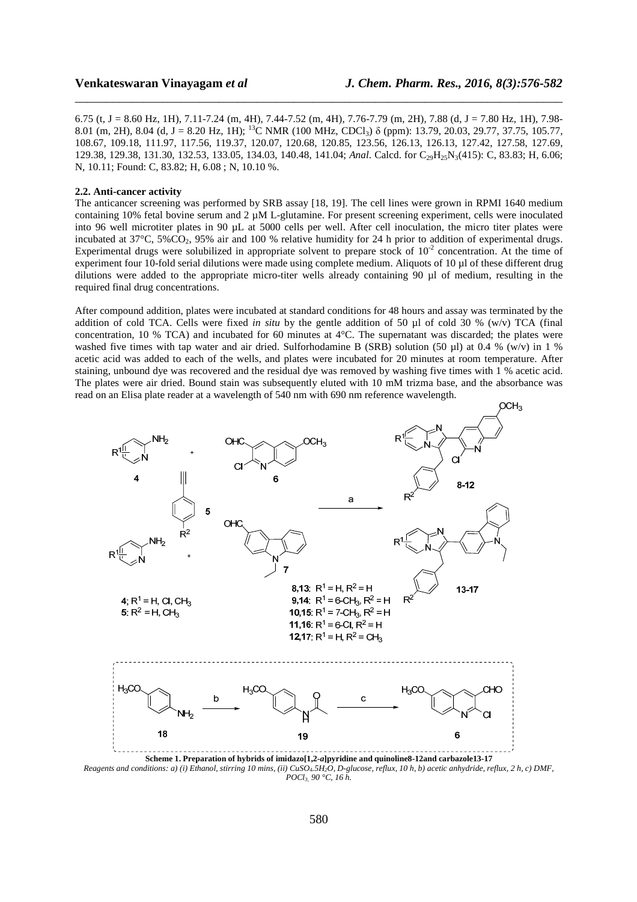6.75 (t, J = 8.60 Hz, 1H), 7.11-7.24 (m, 4H), 7.44-7.52 (m, 4H), 7.76-7.79 (m, 2H), 7.88 (d, J = 7.80 Hz, 1H), 7.98- 8.01 (m, 2H), 8.04 (d, J = 8.20 Hz, 1H); <sup>13</sup>C NMR (100 MHz, CDCl<sub>3</sub>)  $\delta$  (ppm): 13.79, 20.03, 29.77, 37.75, 105.77, 108.67, 109.18, 111.97, 117.56, 119.37, 120.07, 120.68, 120.85, 123.56, 126.13, 126.13, 127.42, 127.58, 127.69, 129.38, 129.38, 131.30, 132.53, 133.05, 134.03, 140.48, 141.04; *Anal*. Calcd. for C<sub>29</sub>H<sub>25</sub>N<sub>3</sub>(415): C, 83.83; H, 6.06; N, 10.11; Found: C, 83.82; H, 6.08 ; N, 10.10 %.

\_\_\_\_\_\_\_\_\_\_\_\_\_\_\_\_\_\_\_\_\_\_\_\_\_\_\_\_\_\_\_\_\_\_\_\_\_\_\_\_\_\_\_\_\_\_\_\_\_\_\_\_\_\_\_\_\_\_\_\_\_\_\_\_\_\_\_\_\_\_\_\_\_\_\_\_\_\_

#### **2.2. Anti-cancer activity**

The anticancer screening was performed by SRB assay [18, 19]. The cell lines were grown in RPMI 1640 medium containing 10% fetal bovine serum and  $2 \mu M$  L-glutamine. For present screening experiment, cells were inoculated into 96 well microtiter plates in 90 µL at 5000 cells per well. After cell inoculation, the micro titer plates were incubated at 37°C, 5%CO<sub>2</sub>, 95% air and 100 % relative humidity for 24 h prior to addition of experimental drugs. Experimental drugs were solubilized in appropriate solvent to prepare stock of  $10^{-2}$  concentration. At the time of experiment four 10-fold serial dilutions were made using complete medium. Aliquots of 10 µl of these different drug dilutions were added to the appropriate micro-titer wells already containing 90 µl of medium, resulting in the required final drug concentrations.

After compound addition, plates were incubated at standard conditions for 48 hours and assay was terminated by the addition of cold TCA. Cells were fixed *in situ* by the gentle addition of 50 µl of cold 30 % (w/v) TCA (final concentration, 10 % TCA) and incubated for 60 minutes at 4°C. The supernatant was discarded; the plates were washed five times with tap water and air dried. Sulforhodamine B (SRB) solution (50 µl) at 0.4 % (w/v) in 1 % acetic acid was added to each of the wells, and plates were incubated for 20 minutes at room temperature. After staining, unbound dye was recovered and the residual dye was removed by washing five times with 1 % acetic acid. The plates were air dried. Bound stain was subsequently eluted with 10 mM trizma base, and the absorbance was read on an Elisa plate reader at a wavelength of 540 nm with 690 nm reference wavelength.



**Scheme 1. Preparation of hybrids of imidazo[1,2-***a***]pyridine and quinoline8-12and carbazole13-17**  *Reagents and conditions: a) (i) Ethanol, stirring 10 mins, (ii) CuSO<sub>4</sub>.5H<sub>2</sub>O, D-glucose, reflux, 10 h, b) acetic anhydride, reflux, 2 h, c) DMF, POCl3, 90 °C, 16 h.*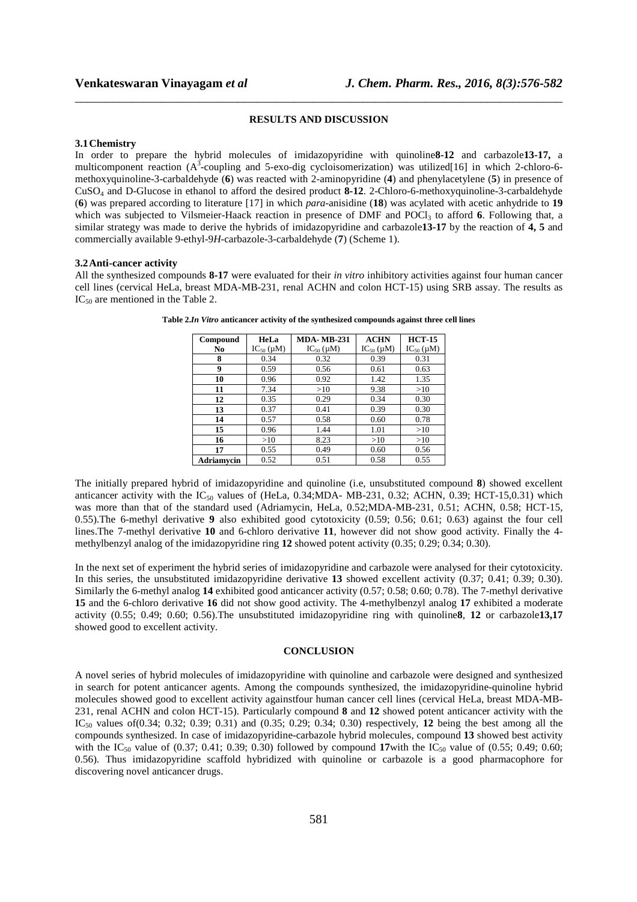#### **RESULTS AND DISCUSSION**

\_\_\_\_\_\_\_\_\_\_\_\_\_\_\_\_\_\_\_\_\_\_\_\_\_\_\_\_\_\_\_\_\_\_\_\_\_\_\_\_\_\_\_\_\_\_\_\_\_\_\_\_\_\_\_\_\_\_\_\_\_\_\_\_\_\_\_\_\_\_\_\_\_\_\_\_\_\_

#### **3.1Chemistry**

In order to prepare the hybrid molecules of imidazopyridine with quinoline**8-12** and carbazole**13-17,** a multicomponent reaction  $(A^3$ -coupling and 5-exo-dig cycloisomerization) was utilized[16] in which 2-chloro-6methoxyquinoline-3-carbaldehyde (**6**) was reacted with 2-aminopyridine (**4**) and phenylacetylene (**5**) in presence of CuSO4 and D-Glucose in ethanol to afford the desired product **8-12**. 2-Chloro-6-methoxyquinoline-3-carbaldehyde (**6**) was prepared according to literature [17] in which *para*-anisidine (**18**) was acylated with acetic anhydride to **19** which was subjected to Vilsmeier-Haack reaction in presence of DMF and POCl<sub>3</sub> to afford **6**. Following that, a similar strategy was made to derive the hybrids of imidazopyridine and carbazole**13-17** by the reaction of **4, 5** and commercially available 9-ethyl-9*H*-carbazole-3-carbaldehyde (**7**) (Scheme 1).

#### **3.2Anti-cancer activity**

All the synthesized compounds **8-17** were evaluated for their *in vitro* inhibitory activities against four human cancer cell lines (cervical HeLa, breast MDA-MB-231, renal ACHN and colon HCT-15) using SRB assay. The results as  $IC_{50}$  are mentioned in the Table 2.

| Compound          | HeLa             | <b>MDA-MB-231</b> | <b>ACHN</b>      | <b>HCT-15</b>    |
|-------------------|------------------|-------------------|------------------|------------------|
| No                | $IC_{50}(\mu M)$ | $IC_{50}(\mu M)$  | $IC_{50}(\mu M)$ | $IC_{50}(\mu M)$ |
| 8                 | 0.34             | 0.32              | 0.39             | 0.31             |
| 9                 | 0.59             | 0.56              | 0.61             | 0.63             |
| 10                | 0.96             | 0.92              | 1.42             | 1.35             |
| 11                | 7.34             | >10               | 9.38             | >10              |
| 12                | 0.35             | 0.29              | 0.34             | 0.30             |
| 13                | 0.37             | 0.41              | 0.39             | 0.30             |
| 14                | 0.57             | 0.58              | 0.60             | 0.78             |
| 15                | 0.96             | 1.44              | 1.01             | >10              |
| 16                | >10              | 8.23              | >10              | >10              |
| 17                | 0.55             | 0.49              | 0.60             | 0.56             |
| <b>Adriamycin</b> | 0.52             | 0.51              | 0.58             | 0.55             |

**Table 2.***In Vitro* **anticancer activity of the synthesized compounds against three cell lines** 

The initially prepared hybrid of imidazopyridine and quinoline (i.e, unsubstituted compound **8**) showed excellent anticancer activity with the  $IC_{50}$  values of (HeLa, 0.34;MDA- MB-231, 0.32; ACHN, 0.39; HCT-15,0.31) which was more than that of the standard used (Adriamycin, HeLa, 0.52;MDA-MB-231, 0.51; ACHN, 0.58; HCT-15, 0.55).The 6-methyl derivative **9** also exhibited good cytotoxicity (0.59; 0.56; 0.61; 0.63) against the four cell lines.The 7-methyl derivative **10** and 6-chloro derivative **11**, however did not show good activity. Finally the 4 methylbenzyl analog of the imidazopyridine ring **12** showed potent activity (0.35; 0.29; 0.34; 0.30).

In the next set of experiment the hybrid series of imidazopyridine and carbazole were analysed for their cytotoxicity. In this series, the unsubstituted imidazopyridine derivative **13** showed excellent activity (0.37; 0.41; 0.39; 0.30). Similarly the 6-methyl analog **14** exhibited good anticancer activity (0.57; 0.58; 0.60; 0.78). The 7-methyl derivative **15** and the 6-chloro derivative **16** did not show good activity. The 4-methylbenzyl analog **17** exhibited a moderate activity (0.55; 0.49; 0.60; 0.56).The unsubstituted imidazopyridine ring with quinoline**8**, **12** or carbazole**13,17** showed good to excellent activity.

#### **CONCLUSION**

A novel series of hybrid molecules of imidazopyridine with quinoline and carbazole were designed and synthesized in search for potent anticancer agents. Among the compounds synthesized, the imidazopyridine-quinoline hybrid molecules showed good to excellent activity againstfour human cancer cell lines (cervical HeLa, breast MDA-MB-231, renal ACHN and colon HCT-15). Particularly compound **8** and **12** showed potent anticancer activity with the IC<sub>50</sub> values of(0.34; 0.32; 0.39; 0.31) and (0.35; 0.29; 0.34; 0.30) respectively, **12** being the best among all the compounds synthesized. In case of imidazopyridine-carbazole hybrid molecules, compound **13** showed best activity with the IC<sub>50</sub> value of (0.37; 0.41; 0.39; 0.30) followed by compound 17 with the IC<sub>50</sub> value of (0.55; 0.49; 0.60; 0.56). Thus imidazopyridine scaffold hybridized with quinoline or carbazole is a good pharmacophore for discovering novel anticancer drugs.